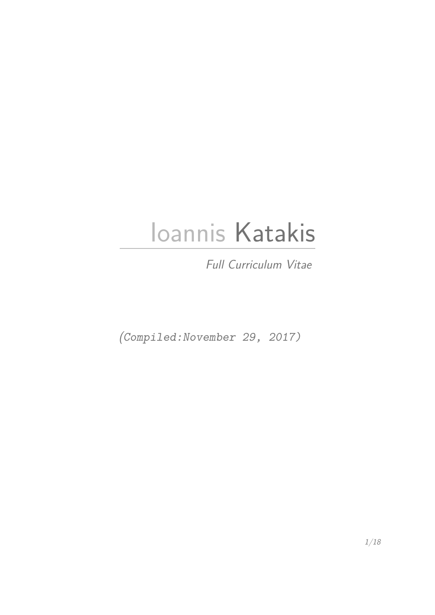# Ioannis Katakis

Full Curriculum Vitae

(Compiled:November 29, 2017)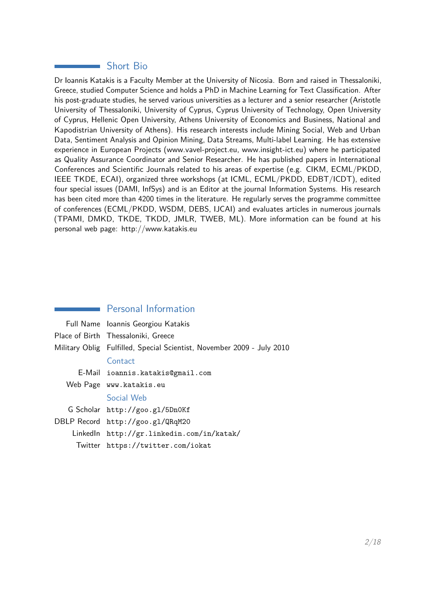## Short Bio

Dr Ioannis Katakis is a Faculty Member at the University of Nicosia. Born and raised in Thessaloniki, Greece, studied Computer Science and holds a PhD in Machine Learning for Text Classification. After his post-graduate studies, he served various universities as a lecturer and a senior researcher (Aristotle University of Thessaloniki, University of Cyprus, Cyprus University of Technology, Open University of Cyprus, Hellenic Open University, Athens University of Economics and Business, National and Kapodistrian University of Athens). His research interests include Mining Social, Web and Urban Data, Sentiment Analysis and Opinion Mining, Data Streams, Multi-label Learning. He has extensive experience in European Projects (www.vavel-project.eu, www.insight-ict.eu) where he participated as Quality Assurance Coordinator and Senior Researcher. He has published papers in International Conferences and Scientific Journals related to his areas of expertise (e.g. CIKM, ECML/PKDD, IEEE TKDE, ECAI), organized three workshops (at ICML, ECML/PKDD, EDBT/ICDT), edited four special issues (DAMI, InfSys) and is an Editor at the journal Information Systems. His research has been cited more than 4200 times in the literature. He regularly serves the programme committee of conferences (ECML/PKDD, WSDM, DEBS, IJCAI) and evaluates articles in numerous journals (TPAMI, DMKD, TKDE, TKDD, JMLR, TWEB, ML). More information can be found at his personal web page: http://www.katakis.eu

## Personal Information

| Full Name Ioannis Georgiou Katakis                                     |
|------------------------------------------------------------------------|
| Place of Birth Thessaloniki, Greece                                    |
| Military Oblig Fulfilled, Special Scientist, November 2009 - July 2010 |
| Contact                                                                |
| E-Mail ioannis.katakis@gmail.com                                       |
| Web Page www.katakis.eu                                                |
| Social Web                                                             |
| G Scholar http://goo.gl/5Dn0Kf                                         |
| DBLP Record http://goo.gl/QRqM20                                       |
| Linkedln http://gr.linkedin.com/in/katak/                              |
| Twitter https://twitter.com/iokat                                      |
|                                                                        |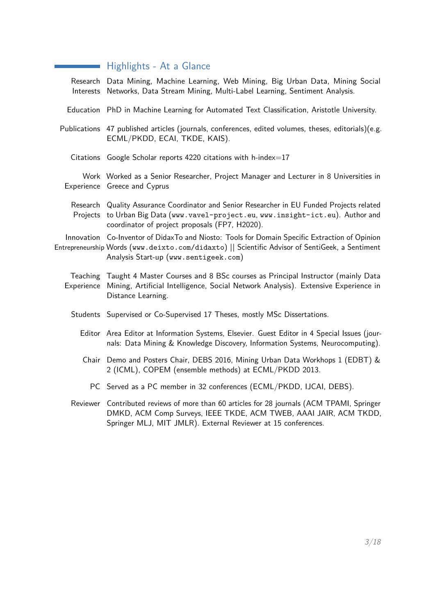# Highlights - At a Glance

| Research Data Mining, Machine Learning, Web Mining, Big Urban Data, Mining Social<br>Interests Networks, Data Stream Mining, Multi-Label Learning, Sentiment Analysis.                                                                    |
|-------------------------------------------------------------------------------------------------------------------------------------------------------------------------------------------------------------------------------------------|
| Education PhD in Machine Learning for Automated Text Classification, Aristotle University.                                                                                                                                                |
| Publications 47 published articles (journals, conferences, edited volumes, theses, editorials)(e.g.<br>ECML/PKDD, ECAI, TKDE, KAIS).                                                                                                      |
| Citations Google Scholar reports 4220 citations with h-index= $17$                                                                                                                                                                        |
| Work Worked as a Senior Researcher, Project Manager and Lecturer in 8 Universities in<br>Experience Greece and Cyprus                                                                                                                     |
| Research Quality Assurance Coordinator and Senior Researcher in EU Funded Projects related<br>Projects to Urban Big Data (www.vavel-project.eu, www.insight-ict.eu). Author and<br>coordinator of project proposals (FP7, H2020).         |
| Innovation Co-Inventor of DidaxTo and Niosto: Tools for Domain Specific Extraction of Opinion<br>Entrepreneurship Words (www.deixto.com/didaxto)    Scientific Advisor of SentiGeek, a Sentiment<br>Analysis Start-up (www.sentigeek.com) |
| Teaching Taught 4 Master Courses and 8 BSc courses as Principal Instructor (mainly Data<br>Experience Mining, Artificial Intelligence, Social Network Analysis). Extensive Experience in<br>Distance Learning.                            |
| Students Supervised or Co-Supervised 17 Theses, mostly MSc Dissertations.                                                                                                                                                                 |
| Editor Area Editor at Information Systems, Elsevier. Guest Editor in 4 Special Issues (jour-<br>nals: Data Mining & Knowledge Discovery, Information Systems, Neurocomputing).                                                            |
| Chair Demo and Posters Chair, DEBS 2016, Mining Urban Data Workhops 1 (EDBT) &<br>2 (ICML), COPEM (ensemble methods) at ECML/PKDD 2013.                                                                                                   |
| PC Served as a PC member in 32 conferences (ECML/PKDD, IJCAI, DEBS).                                                                                                                                                                      |
| Reviewer Contributed reviews of more than 60 articles for 28 journals (ACM TPAMI, Springer<br>DMKD, ACM Comp Surveys, IEEE TKDE, ACM TWEB, AAAI JAIR, ACM TKDD,<br>Springer MLJ, MIT JMLR). External Reviewer at 15 conferences.          |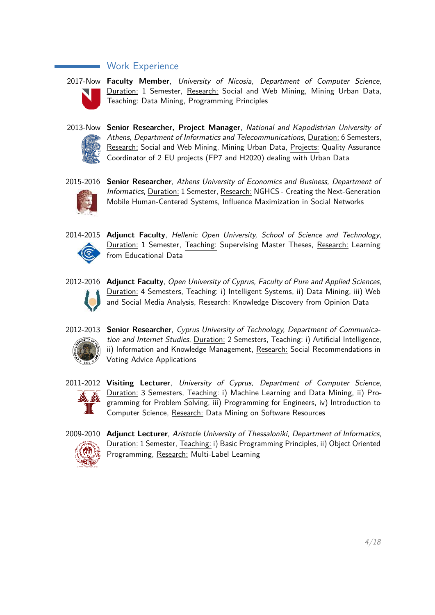## Work Experience



2017-Now **Faculty Member**, University of Nicosia, Department of Computer Science, Duration: 1 Semester, Research: Social and Web Mining, Mining Urban Data, Teaching: Data Mining, Programming Principles



2013-Now **Senior Researcher, Project Manager**, National and Kapodistrian University of Athens, Department of Informatics and Telecommunications, Duration: 6 Semesters, Research: Social and Web Mining, Mining Urban Data, Projects: Quality Assurance Coordinator of 2 EU projects (FP7 and H2020) dealing with Urban Data



2015-2016 **Senior Researcher**, Athens University of Economics and Business, Department of Informatics, Duration: 1 Semester, Research: NGHCS - Creating the Next-Generation Mobile Human-Centered Systems, Influence Maximization in Social Networks



2014-2015 **Adjunct Faculty**, Hellenic Open University, School of Science and Technology, Duration: 1 Semester, Teaching: Supervising Master Theses, Research: Learning from Educational Data



2012-2016 **Adjunct Faculty**, Open University of Cyprus, Faculty of Pure and Applied Sciences, Duration: 4 Semesters, Teaching: i) Intelligent Systems, ii) Data Mining, iii) Web and Social Media Analysis, Research: Knowledge Discovery from Opinion Data



2012-2013 **Senior Researcher**, Cyprus University of Technology, Department of Communication and Internet Studies, Duration: 2 Semesters, Teaching: i) Artificial Intelligence, ii) Information and Knowledge Management, Research: Social Recommendations in Voting Advice Applications



2011-2012 **Visiting Lecturer**, University of Cyprus, Department of Computer Science, Duration: 3 Semesters, Teaching: i) Machine Learning and Data Mining, ii) Programming for Problem Solving, iii) Programming for Engineers, iv) Introduction to Computer Science, Research: Data Mining on Software Resources



2009-2010 **Adjunct Lecturer**, Aristotle University of Thessaloniki, Department of Informatics, Duration: 1 Semester, Teaching: i) Basic Programming Principles, ii) Object Oriented Programming, Research: Multi-Label Learning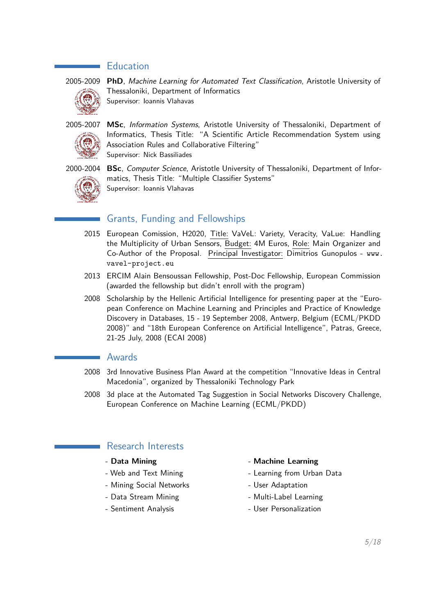## **Education**



2005-2009 **PhD**, Machine Learning for Automated Text Classification, Aristotle University of Thessaloniki, Department of Informatics Supervisor: Ioannis Vlahavas

2005-2007 **MSc**, Information Systems, Aristotle University of Thessaloniki, Department of Informatics, Thesis Title: "A Scientific Article Recommendation System using Association Rules and Collaborative Filtering" Supervisor: Nick Bassiliades



2000-2004 **BSc**, Computer Science, Aristotle University of Thessaloniki, Department of Informatics, Thesis Title: "Multiple Classifier Systems" Supervisor: Ioannis Vlahavas

## Grants, Funding and Fellowships

- 2015 European Comission, H2020, Title: VaVeL: Variety, Veracity, VaLue: Handling the Multiplicity of Urban Sensors, Budget: 4M Euros, Role: Main Organizer and Co-Author of the Proposal. Principal Investigator: Dimitrios Gunopulos - www. vavel-project.eu
- 2013 ERCIM Alain Bensoussan Fellowship, Post-Doc Fellowship, European Commission (awarded the fellowship but didn't enroll with the program)
- 2008 Scholarship by the Hellenic Artificial Intelligence for presenting paper at the "European Conference on Machine Learning and Principles and Practice of Knowledge Discovery in Databases, 15 - 19 September 2008, Antwerp, Belgium (ECML/PKDD 2008)" and "18th European Conference on Artificial Intelligence", Patras, Greece, 21-25 July, 2008 (ECAI 2008)

## Awards

- 2008 3rd Innovative Business Plan Award at the competition "Innovative Ideas in Central Macedonia", organized by Thessaloniki Technology Park
- 2008 3d place at the Automated Tag Suggestion in Social Networks Discovery Challenge, European Conference on Machine Learning (ECML/PKDD)

## Research Interests

- 
- 
- Mining Social Networks User Adaptation
- 
- 

## - **Data Mining** - **Machine Learning**

- Web and Text Mining  $\qquad \qquad$  Learning from Urban Data
	-
- Data Stream Mining The Multi-Label Learning
- Sentiment Analysis **Analysis** Analysis Analysis Analysis Analysis Analysis Analysis Analysis Analysis Analysis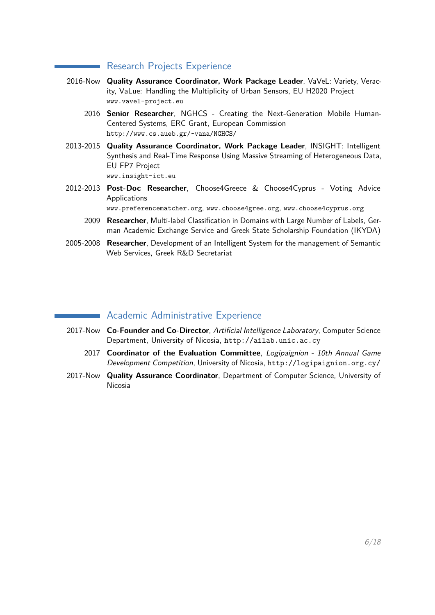## Research Projects Experience

- 2016-Now **Quality Assurance Coordinator, Work Package Leader**, VaVeL: Variety, Veracity, VaLue: Handling the Multiplicity of Urban Sensors, EU H2020 Project www.vavel-project.eu
	- 2016 **Senior Researcher**, NGHCS Creating the Next-Generation Mobile Human-Centered Systems, ERC Grant, European Commission http://www.cs.aueb.gr/~vana/NGHCS/
- 2013-2015 **Quality Assurance Coordinator, Work Package Leader**, INSIGHT: Intelligent Synthesis and Real-Time Response Using Massive Streaming of Heterogeneous Data, EU FP7 Project www.insight-ict.eu
- 2012-2013 **Post-Doc Researcher**, Choose4Greece & Choose4Cyprus Voting Advice Applications

www.preferencematcher.org, www.choose4gree.org, www.choose4cyprus.org

- 2009 **Researcher**, Multi-label Classification in Domains with Large Number of Labels, German Academic Exchange Service and Greek State Scholarship Foundation (IKYDA)
- 2005-2008 **Researcher**, Development of an Intelligent System for the management of Semantic Web Services, Greek R&D Secretariat

## Academic Administrative Experience

- 2017-Now **Co-Founder and Co-Director**, Artificial Intelligence Laboratory, Computer Science Department, University of Nicosia, http://ailab.unic.ac.cy
	- 2017 **Coordinator of the Evaluation Committee**, Logipaignion 10th Annual Game Development Competition, University of Nicosia, http://logipaignion.org.cy/
- 2017-Now **Quality Assurance Coordinator**, Department of Computer Science, University of Nicosia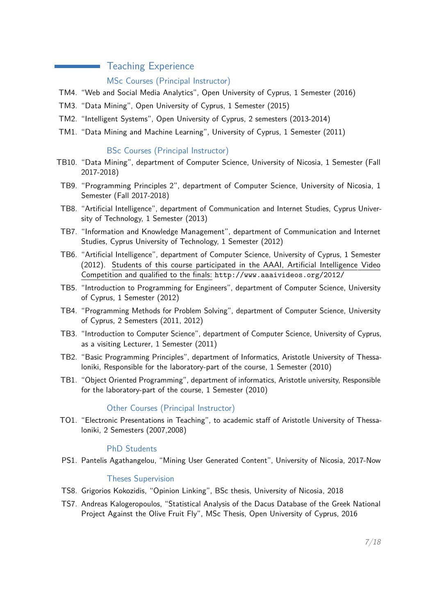## Teaching Experience

## MSc Courses (Principal Instructor)

- TM4. "Web and Social Media Analytics", Open University of Cyprus, 1 Semester (2016)
- TM3. "Data Mining", Open University of Cyprus, 1 Semester (2015)
- TM2. "Intelligent Systems", Open University of Cyprus, 2 semesters (2013-2014)
- TM1. "Data Mining and Machine Learning", University of Cyprus, 1 Semester (2011)

## BSc Courses (Principal Instructor)

- TB10. "Data Mining", department of Computer Science, University of Nicosia, 1 Semester (Fall 2017-2018)
- TB9. "Programming Principles 2", department of Computer Science, University of Nicosia, 1 Semester (Fall 2017-2018)
- TB8. "Artificial Intelligence", department of Communication and Internet Studies, Cyprus University of Technology, 1 Semester (2013)
- TB7. "Information and Knowledge Management", department of Communication and Internet Studies, Cyprus University of Technology, 1 Semester (2012)
- TB6. "Artificial Intelligence", department of Computer Science, University of Cyprus, 1 Semester (2012). Students of this course participated in the AAAI, Artificial Intelligence Video Competition and qualified to the finals: http://www.aaaivideos.org/2012/
- TB5. "Introduction to Programming for Engineers", department of Computer Science, University of Cyprus, 1 Semester (2012)
- TB4. "Programming Methods for Problem Solving", department of Computer Science, University of Cyprus, 2 Semesters (2011, 2012)
- TB3. "Introduction to Computer Science", department of Computer Science, University of Cyprus, as a visiting Lecturer, 1 Semester (2011)
- TB2. "Basic Programming Principles", department of Informatics, Aristotle University of Thessaloniki, Responsible for the laboratory-part of the course, 1 Semester (2010)
- TB1. "Object Oriented Programming", department of informatics, Aristotle university, Responsible for the laboratory-part of the course, 1 Semester (2010)

## Other Courses (Principal Instructor)

TO1. "Electronic Presentations in Teaching", to academic staff of Aristotle University of Thessaloniki, 2 Semesters (2007,2008)

## PhD Students

PS1. Pantelis Agathangelou, "Mining User Generated Content", University of Nicosia, 2017-Now

## Theses Supervision

- TS8. Grigorios Kokozidis, "Opinion Linking", BSc thesis, University of Nicosia, 2018
- TS7. Andreas Kalogeropoulos, "Statistical Analysis of the Dacus Database of the Greek National Project Against the Olive Fruit Fly", MSc Thesis, Open University of Cyprus, 2016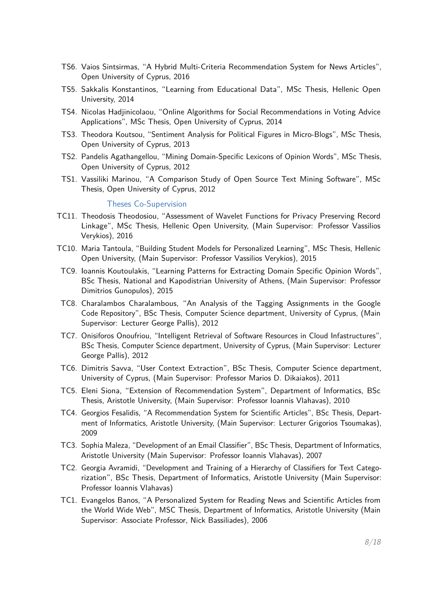- TS6. Vaios Sintsirmas, "A Hybrid Multi-Criteria Recommendation System for News Articles", Open University of Cyprus, 2016
- TS5. Sakkalis Konstantinos, "Learning from Educational Data", MSc Thesis, Hellenic Open University, 2014
- TS4. Nicolas Hadjinicolaou, "Online Algorithms for Social Recommendations in Voting Advice Applications", MSc Thesis, Open University of Cyprus, 2014
- TS3. Theodora Koutsou, "Sentiment Analysis for Political Figures in Micro-Blogs", MSc Thesis, Open University of Cyprus, 2013
- TS2. Pandelis Agathangellou, "Mining Domain-Specific Lexicons of Opinion Words", MSc Thesis, Open University of Cyprus, 2012
- TS1. Vassiliki Marinou, "A Comparison Study of Open Source Text Mining Software", MSc Thesis, Open University of Cyprus, 2012

#### Theses Co-Supervision

- TC11. Theodosis Theodosiou, "Assessment of Wavelet Functions for Privacy Preserving Record Linkage", MSc Thesis, Hellenic Open University, (Main Supervisor: Professor Vassilios Verykios), 2016
- TC10. Maria Tantoula, "Building Student Models for Personalized Learning", MSc Thesis, Hellenic Open University, (Main Supervisor: Professor Vassilios Verykios), 2015
- TC9. Ioannis Koutoulakis, "Learning Patterns for Extracting Domain Specific Opinion Words", BSc Thesis, National and Kapodistrian University of Athens, (Main Supervisor: Professor Dimitrios Gunopulos), 2015
- TC8. Charalambos Charalambous, "An Analysis of the Tagging Assignments in the Google Code Repository", BSc Thesis, Computer Science department, University of Cyprus, (Main Supervisor: Lecturer George Pallis), 2012
- TC7. Onisiforos Onoufriou, "Intelligent Retrieval of Software Resources in Cloud Infastructures", BSc Thesis, Computer Science department, University of Cyprus, (Main Supervisor: Lecturer George Pallis), 2012
- TC6. Dimitris Savva, "User Context Extraction", BSc Thesis, Computer Science department, University of Cyprus, (Main Supervisor: Professor Marios D. Dikaiakos), 2011
- TC5. Eleni Siona, "Extension of Recommendation System", Department of Informatics, BSc Thesis, Aristotle University, (Main Supervisor: Professor Ioannis Vlahavas), 2010
- TC4. Georgios Fesalidis, "A Recommendation System for Scientific Articles", BSc Thesis, Department of Informatics, Aristotle University, (Main Supervisor: Lecturer Grigorios Tsoumakas), 2009
- TC3. Sophia Maleza, "Development of an Email Classifier", BSc Thesis, Department of Informatics, Aristotle University (Main Supervisor: Professor Ioannis Vlahavas), 2007
- TC2. Georgia Avramidi, "Development and Training of a Hierarchy of Classifiers for Text Categorization", BSc Thesis, Department of Informatics, Aristotle University (Main Supervisor: Professor Ioannis Vlahavas)
- TC1. Evangelos Banos, "A Personalized System for Reading News and Scientific Articles from the World Wide Web", MSC Thesis, Department of Informatics, Aristotle University (Main Supervisor: Associate Professor, Nick Bassiliades), 2006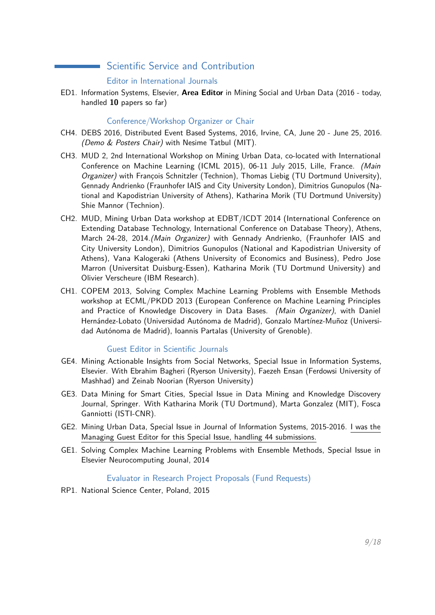## Scientific Service and Contribution

## Editor in International Journals

ED1. Information Systems, Elsevier, **Area Editor** in Mining Social and Urban Data (2016 - today, handled **10** papers so far)

## Conference/Workshop Organizer or Chair

- CH4. DEBS 2016, Distributed Event Based Systems, 2016, Irvine, CA, June 20 June 25, 2016. (Demo & Posters Chair) with Nesime Tatbul (MIT).
- CH3. MUD 2, 2nd International Workshop on Mining Urban Data, co-located with International Conference on Machine Learning (ICML 2015), 06-11 July 2015, Lille, France. (Main Organizer) with François Schnitzler (Technion), Thomas Liebig (TU Dortmund University), Gennady Andrienko (Fraunhofer IAIS and City University London), Dimitrios Gunopulos (National and Kapodistrian University of Athens), Katharina Morik (TU Dortmund University) Shie Mannor (Technion).
- CH2. MUD, Mining Urban Data workshop at EDBT/ICDT 2014 (International Conference on Extending Database Technology, International Conference on Database Theory), Athens, March 24-28, 2014.(Main Organizer) with Gennady Andrienko, (Fraunhofer IAIS and City University London), Dimitrios Gunopulos (National and Kapodistrian University of Athens), Vana Kalogeraki (Athens University of Economics and Business), Pedro Jose Marron (Universitat Duisburg-Essen), Katharina Morik (TU Dortmund University) and Olivier Verscheure (IBM Research).
- CH1. COPEM 2013, Solving Complex Machine Learning Problems with Ensemble Methods workshop at ECML/PKDD 2013 (European Conference on Machine Learning Principles and Practice of Knowledge Discovery in Data Bases. (Main Organizer), with Daniel Hernández-Lobato (Universidad Autónoma de Madrid), Gonzalo Martínez-Muñoz (Universidad Autónoma de Madrid), Ioannis Partalas (University of Grenoble).

## Guest Editor in Scientific Journals

- GE4. Mining Actionable Insights from Social Networks, Special Issue in Information Systems, Elsevier. With Ebrahim Bagheri (Ryerson University), Faezeh Ensan (Ferdowsi University of Mashhad) and Zeinab Noorian (Ryerson University)
- GE3. Data Mining for Smart Cities, Special Issue in Data Mining and Knowledge Discovery Journal, Springer. With Katharina Morik (TU Dortmund), Marta Gonzalez (MIT), Fosca Ganniotti (ISTI-CNR).
- GE2. Mining Urban Data, Special Issue in Journal of Information Systems, 2015-2016. I was the Managing Guest Editor for this Special Issue, handling 44 submissions.
- GE1. Solving Complex Machine Learning Problems with Ensemble Methods, Special Issue in Elsevier Neurocomputing Jounal, 2014

## Evaluator in Research Project Proposals (Fund Requests)

RP1. National Science Center, Poland, 2015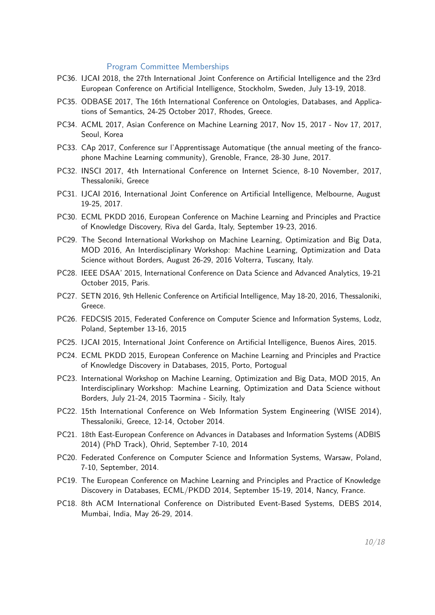#### Program Committee Memberships

- PC36. IJCAI 2018, the 27th International Joint Conference on Artificial Intelligence and the 23rd European Conference on Artificial Intelligence, Stockholm, Sweden, July 13-19, 2018.
- PC35. ODBASE 2017, The 16th International Conference on Ontologies, Databases, and Applications of Semantics, 24-25 October 2017, Rhodes, Greece.
- PC34. ACML 2017, Asian Conference on Machine Learning 2017, Nov 15, 2017 Nov 17, 2017, Seoul, Korea
- PC33. CAp 2017, Conference sur l'Apprentissage Automatique (the annual meeting of the francophone Machine Learning community), Grenoble, France, 28-30 June, 2017.
- PC32. INSCI 2017, 4th International Conference on Internet Science, 8-10 November, 2017, Thessaloniki, Greece
- PC31. IJCAI 2016, International Joint Conference on Artificial Intelligence, Melbourne, August 19-25, 2017.
- PC30. ECML PKDD 2016, European Conference on Machine Learning and Principles and Practice of Knowledge Discovery, Riva del Garda, Italy, September 19-23, 2016.
- PC29. The Second International Workshop on Machine Learning, Optimization and Big Data, MOD 2016, An Interdisciplinary Workshop: Machine Learning, Optimization and Data Science without Borders, August 26-29, 2016 Volterra, Tuscany, Italy.
- PC28. IEEE DSAA' 2015, International Conference on Data Science and Advanced Analytics, 19-21 October 2015, Paris.
- PC27. SETN 2016, 9th Hellenic Conference on Artificial Intelligence, May 18-20, 2016, Thessaloniki, Greece.
- PC26. FEDCSIS 2015, Federated Conference on Computer Science and Information Systems, Lodz, Poland, September 13-16, 2015
- PC25. IJCAI 2015, International Joint Conference on Artificial Intelligence, Buenos Aires, 2015.
- PC24. ECML PKDD 2015, European Conference on Machine Learning and Principles and Practice of Knowledge Discovery in Databases, 2015, Porto, Portogual
- PC23. International Workshop on Machine Learning, Optimization and Big Data, MOD 2015, An Interdisciplinary Workshop: Machine Learning, Optimization and Data Science without Borders, July 21-24, 2015 Taormina - Sicily, Italy
- PC22. 15th International Conference on Web Information System Engineering (WISE 2014), Thessaloniki, Greece, 12-14, October 2014.
- PC21. 18th East-European Conference on Advances in Databases and Information Systems (ADBIS 2014) (PhD Track), Ohrid, September 7-10, 2014
- PC20. Federated Conference on Computer Science and Information Systems, Warsaw, Poland, 7-10, September, 2014.
- PC19. The European Conference on Machine Learning and Principles and Practice of Knowledge Discovery in Databases, ECML/PKDD 2014, September 15-19, 2014, Nancy, France.
- PC18. 8th ACM International Conference on Distributed Event-Based Systems, DEBS 2014, Mumbai, India, May 26-29, 2014.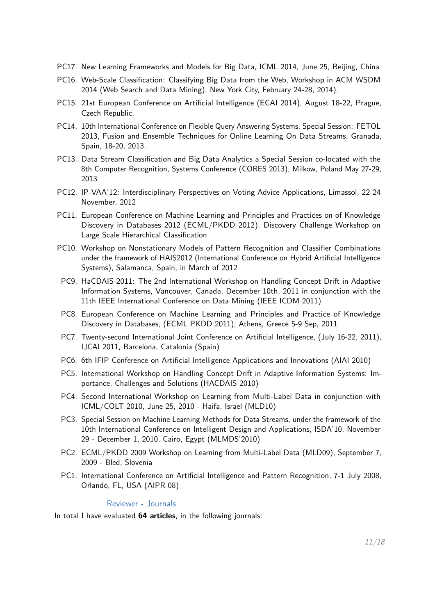- PC17. New Learning Frameworks and Models for Big Data, ICML 2014, June 25, Beijing, China
- PC16. Web-Scale Classification: Classifying Big Data from the Web, Workshop in ACM WSDM 2014 (Web Search and Data Mining), New York City, February 24-28, 2014).
- PC15. 21st European Conference on Artificial Intelligence (ECAI 2014), August 18-22, Prague, Czech Republic.
- PC14. 10th International Conference on Flexible Query Answering Systems, Special Session: FETOL 2013, Fusion and Ensemble Techniques for Online Learning On Data Streams, Granada, Spain, 18-20, 2013.
- PC13. Data Stream Classification and Big Data Analytics a Special Session co-located with the 8th Computer Recognition, Systems Conference (CORES 2013), Milkow, Poland May 27-29, 2013
- PC12. IP-VAA'12: Interdisciplinary Perspectives on Voting Advice Applications, Limassol, 22-24 November, 2012
- PC11. European Conference on Machine Learning and Principles and Practices on of Knowledge Discovery in Databases 2012 (ECML/PKDD 2012), Discovery Challenge Workshop on Large Scale Hierarchical Classification
- PC10. Workshop on Nonstationary Models of Pattern Recognition and Classifier Combinations under the framework of HAIS2012 (International Conference on Hybrid Artificial Intelligence Systems), Salamanca, Spain, in March of 2012
- PC9. HaCDAIS 2011: The 2nd International Workshop on Handling Concept Drift in Adaptive Information Systems, Vancouver, Canada, December 10th, 2011 in conjunction with the 11th IEEE International Conference on Data Mining (IEEE ICDM 2011)
- PC8. European Conference on Machine Learning and Principles and Practice of Knowledge Discovery in Databases, (ECML PKDD 2011), Athens, Greece 5-9 Sep, 2011
- PC7. Twenty-second International Joint Conference on Artificial Intelligence, (July 16-22, 2011), IJCAI 2011, Barcelona, Catalonia (Spain)
- PC6. 6th IFIP Conference on Artificial Intelligence Applications and Innovations (AIAI 2010)
- PC5. International Workshop on Handling Concept Drift in Adaptive Information Systems: Importance, Challenges and Solutions (HACDAIS 2010)
- PC4. Second International Workshop on Learning from Multi-Label Data in conjunction with ICML/COLT 2010, June 25, 2010 - Haifa, Israel (MLD10)
- PC3. Special Session on Machine Learning Methods for Data Streams, under the framework of the 10th International Conference on Intelligent Design and Applications, ISDA'10, November 29 - December 1, 2010, Cairo, Egypt (MLMDS'2010)
- PC2. ECML/PKDD 2009 Workshop on Learning from Multi-Label Data (MLD09), September 7, 2009 - Bled, Slovenia
- PC1. International Conference on Artificial Intelligence and Pattern Recognition, 7-1 July 2008, Orlando, FL, USA (AIPR 08)

#### Reviewer - Journals

In total I have evaluated **64 articles**, in the following journals: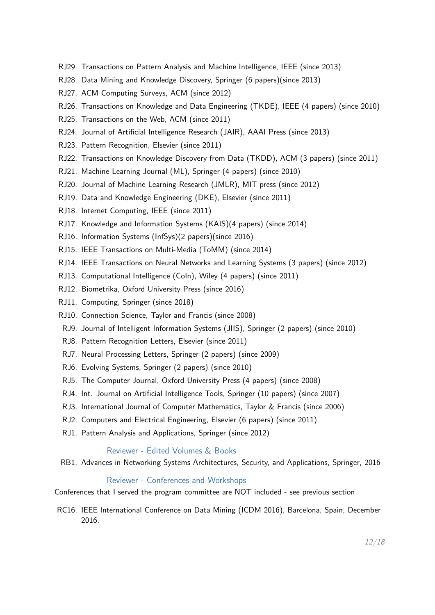- RJ29. Transactions on Pattern Analysis and Machine Intelligence, IEEE (since 2013)
- RJ28. Data Mining and Knowledge Discovery, Springer (6 papers)(since 2013)
- RJ27. ACM Computing Surveys, ACM (since 2012)
- RJ26. Transactions on Knowledge and Data Engineering (TKDE), IEEE (4 papers) (since 2010)
- RJ25. Transactions on the Web, ACM (since 2011)
- RJ24. Journal of Artificial Intelligence Research (JAIR), AAAI Press (since 2013)
- RJ23. Pattern Recognition, Elsevier (since 2011)
- RJ22. Transactions on Knowledge Discovery from Data (TKDD), ACM (3 papers) (since 2011)
- RJ21. Machine Learning Journal (ML), Springer (4 papers) (since 2010)
- RJ20. Journal of Machine Learning Research (JMLR), MIT press (since 2012)
- RJ19. Data and Knowledge Engineering (DKE), Elsevier (since 2011)
- RJ18. Internet Computing, IEEE (since 2011)
- RJ17. Knowledge and Information Systems (KAIS)(4 papers) (since 2014)
- RJ16. Information Systems (InfSys)(2 papers)(since 2016)
- RJ15. IEEE Transactions on Multi-Media (ToMM) (since 2014)
- RJ14. IEEE Transactions on Neural Networks and Learning Systems (3 papers) (since 2012)
- RJ13. Computational Intelligence (CoIn), Wiley (4 papers) (since 2011)
- RJ12. Biometrika, Oxford University Press (since 2016)
- RJ11. Computing, Springer (since 2018)
- RJ10. Connection Science, Taylor and Francis (since 2008)
- RJ9. Journal of Intelligent Information Systems (JIIS), Springer (2 papers) (since 2010)
- RJ8. Pattern Recognition Letters, Elsevier (since 2011)
- RJ7. Neural Processing Letters, Springer (2 papers) (since 2009)
- RJ6. Evolving Systems, Springer (2 papers) (since 2010)
- RJ5. The Computer Journal, Oxford University Press (4 papers) (since 2008)
- RJ4. Int. Journal on Artificial Intelligence Tools, Springer (10 papers) (since 2007)
- RJ3. International Journal of Computer Mathematics, Taylor & Francis (since 2006)
- RJ2. Computers and Electrical Engineering, Elsevier (6 papers) (since 2011)
- RJ1. Pattern Analysis and Applications, Springer (since 2012)

#### Reviewer - Edited Volumes & Books

RB1. Advances in Networking Systems Architectures, Security, and Applications, Springer, 2016

#### Reviewer - Conferences and Workshops

Conferences that I served the program committee are NOT included - see previous section

RC16. IEEE International Conference on Data Mining (ICDM 2016), Barcelona, Spain, December 2016.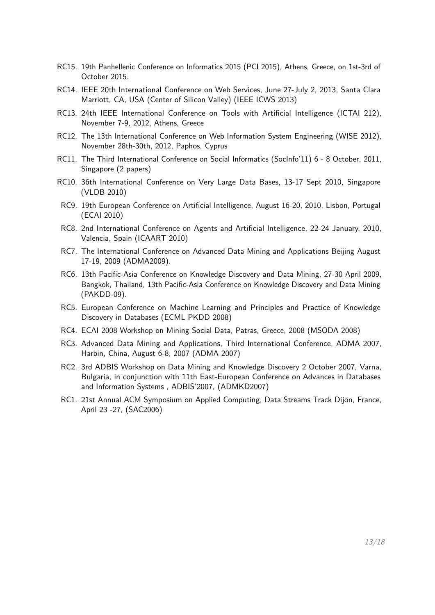- RC15. 19th Panhellenic Conference on Informatics 2015 (PCI 2015), Athens, Greece, on 1st-3rd of October 2015.
- RC14. IEEE 20th International Conference on Web Services, June 27-July 2, 2013, Santa Clara Marriott, CA, USA (Center of Silicon Valley) (IEEE ICWS 2013)
- RC13. 24th IEEE International Conference on Tools with Artificial Intelligence (ICTAI 212), November 7-9, 2012, Athens, Greece
- RC12. The 13th International Conference on Web Information System Engineering (WISE 2012), November 28th-30th, 2012, Paphos, Cyprus
- RC11. The Third International Conference on Social Informatics (SocInfo'11) 6 8 October, 2011, Singapore (2 papers)
- RC10. 36th International Conference on Very Large Data Bases, 13-17 Sept 2010, Singapore (VLDB 2010)
- RC9. 19th European Conference on Artificial Intelligence, August 16-20, 2010, Lisbon, Portugal (ECAI 2010)
- RC8. 2nd International Conference on Agents and Artificial Intelligence, 22-24 January, 2010, Valencia, Spain (ICAART 2010)
- RC7. The International Conference on Advanced Data Mining and Applications Beijing August 17-19, 2009 (ADMA2009).
- RC6. 13th Pacific-Asia Conference on Knowledge Discovery and Data Mining, 27-30 April 2009, Bangkok, Thailand, 13th Pacific-Asia Conference on Knowledge Discovery and Data Mining (PAKDD-09).
- RC5. European Conference on Machine Learning and Principles and Practice of Knowledge Discovery in Databases (ECML PKDD 2008)
- RC4. ECAI 2008 Workshop on Mining Social Data, Patras, Greece, 2008 (MSODA 2008)
- RC3. Advanced Data Mining and Applications, Third International Conference, ADMA 2007, Harbin, China, August 6-8, 2007 (ADMA 2007)
- RC2. 3rd ADBIS Workshop on Data Mining and Knowledge Discovery 2 October 2007, Varna, Bulgaria, in conjunction with 11th East-European Conference on Advances in Databases and Information Systems , ADBIS'2007, (ADMKD2007)
- RC1. 21st Annual ACM Symposium on Applied Computing, Data Streams Track Dijon, France, April 23 -27, (SAC2006)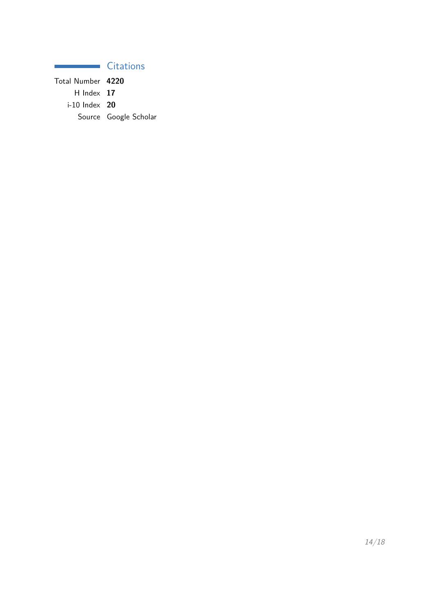## **Citations**

Total Number **4220** H Index **17** i-10 Index **20** Source Google Scholar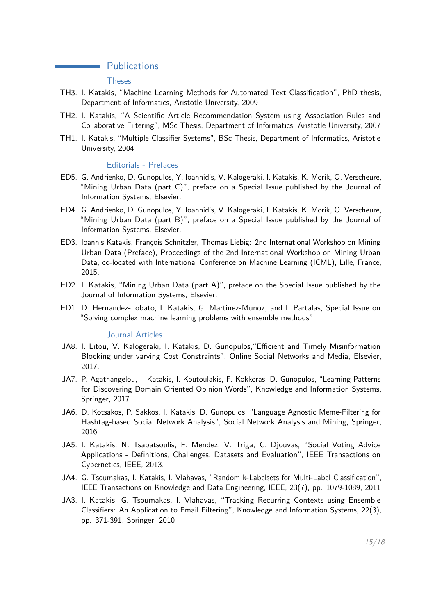## **Publications**

#### Theses

- TH3. I. Katakis, "Machine Learning Methods for Automated Text Classification", PhD thesis, Department of Informatics, Aristotle University, 2009
- TH2. I. Katakis, "A Scientific Article Recommendation System using Association Rules and Collaborative Filtering", MSc Thesis, Department of Informatics, Aristotle University, 2007
- TH1. I. Katakis, "Multiple Classifier Systems", BSc Thesis, Department of Informatics, Aristotle University, 2004

#### Editorials - Prefaces

- ED5. G. Andrienko, D. Gunopulos, Y. Ioannidis, V. Kalogeraki, I. Katakis, K. Morik, O. Verscheure, "Mining Urban Data (part C)", preface on a Special Issue published by the Journal of Information Systems, Elsevier.
- ED4. G. Andrienko, D. Gunopulos, Y. Ioannidis, V. Kalogeraki, I. Katakis, K. Morik, O. Verscheure, "Mining Urban Data (part B)", preface on a Special Issue published by the Journal of Information Systems, Elsevier.
- ED3. Ioannis Katakis, François Schnitzler, Thomas Liebig: 2nd International Workshop on Mining Urban Data (Preface), Proceedings of the 2nd International Workshop on Mining Urban Data, co-located with International Conference on Machine Learning (ICML), Lille, France, 2015.
- ED2. I. Katakis, "Mining Urban Data (part A)", preface on the Special Issue published by the Journal of Information Systems, Elsevier.
- ED1. D. Hernandez-Lobato, I. Katakis, G. Martinez-Munoz, and I. Partalas, Special Issue on "Solving complex machine learning problems with ensemble methods"

#### Journal Articles

- JA8. I. Litou, V. Kalogeraki, I. Katakis, D. Gunopulos,"Efficient and Timely Misinformation Blocking under varying Cost Constraints", Online Social Networks and Media, Elsevier, 2017.
- JA7. P. Agathangelou, I. Katakis, I. Koutoulakis, F. Kokkoras, D. Gunopulos, "Learning Patterns for Discovering Domain Oriented Opinion Words", Knowledge and Information Systems, Springer, 2017.
- JA6. D. Kotsakos, P. Sakkos, I. Katakis, D. Gunopulos, "Language Agnostic Meme-Filtering for Hashtag-based Social Network Analysis", Social Network Analysis and Mining, Springer, 2016
- JA5. I. Katakis, N. Tsapatsoulis, F. Mendez, V. Triga, C. Djouvas, "Social Voting Advice Applications - Definitions, Challenges, Datasets and Evaluation", IEEE Transactions on Cybernetics, IEEE, 2013.
- JA4. G. Tsoumakas, I. Katakis, I. Vlahavas, "Random k-Labelsets for Multi-Label Classification", IEEE Transactions on Knowledge and Data Engineering, IEEE, 23(7), pp. 1079-1089, 2011
- JA3. I. Katakis, G. Tsoumakas, I. Vlahavas, "Tracking Recurring Contexts using Ensemble Classifiers: An Application to Email Filtering", Knowledge and Information Systems, 22(3), pp. 371-391, Springer, 2010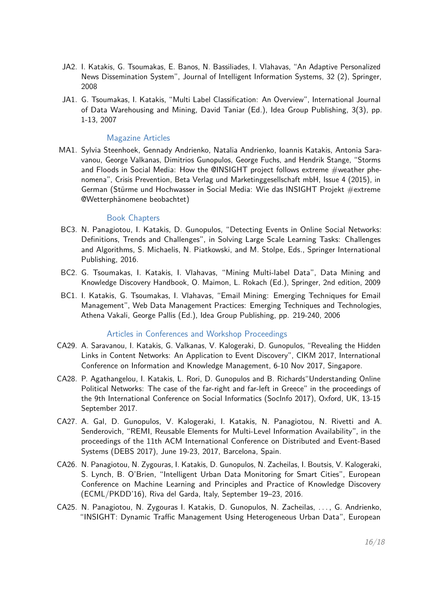- JA2. I. Katakis, G. Tsoumakas, E. Banos, N. Bassiliades, I. Vlahavas, "An Adaptive Personalized News Dissemination System", Journal of Intelligent Information Systems, 32 (2), Springer, 2008
- JA1. G. Tsoumakas, I. Katakis, "Multi Label Classification: An Overview", International Journal of Data Warehousing and Mining, David Taniar (Ed.), Idea Group Publishing, 3(3), pp. 1-13, 2007

## Magazine Articles

MA1. Sylvia Steenhoek, Gennady Andrienko, Natalia Andrienko, Ioannis Katakis, Antonia Saravanou, George Valkanas, Dimitrios Gunopulos, George Fuchs, and Hendrik Stange, "Storms and Floods in Social Media: How the @INSIGHT project follows extreme #weather phenomena", Crisis Prevention, Beta Verlag und Marketinggesellschaft mbH, Issue 4 (2015), in German (Stürme und Hochwasser in Social Media: Wie das INSIGHT Projekt #extreme @Wetterphänomene beobachtet)

## Book Chapters

- BC3. N. Panagiotou, I. Katakis, D. Gunopulos, "Detecting Events in Online Social Networks: Definitions, Trends and Challenges", in Solving Large Scale Learning Tasks: Challenges and Algorithms, S. Michaelis, N. Piatkowski, and M. Stolpe, Eds., Springer International Publishing, 2016.
- BC2. G. Tsoumakas, I. Katakis, I. Vlahavas, "Mining Multi-label Data", Data Mining and Knowledge Discovery Handbook, O. Maimon, L. Rokach (Ed.), Springer, 2nd edition, 2009
- BC1. I. Katakis, G. Tsoumakas, I. Vlahavas, "Email Mining: Emerging Techniques for Email Management", Web Data Management Practices: Emerging Techniques and Technologies, Athena Vakali, George Pallis (Ed.), Idea Group Publishing, pp. 219-240, 2006

## Articles in Conferences and Workshop Proceedings

- CA29. A. Saravanou, I. Katakis, G. Valkanas, V. Kalogeraki, D. Gunopulos, "Revealing the Hidden Links in Content Networks: An Application to Event Discovery", CIKM 2017, International Conference on Information and Knowledge Management, 6-10 Nov 2017, Singapore.
- CA28. P. Agathangelou, I. Katakis, L. Rori, D. Gunopulos and B. Richards"Understanding Online Political Networks: The case of the far-right and far-left in Greece" in the proceedings of the 9th International Conference on Social Informatics (SocInfo 2017), Oxford, UK, 13-15 September 2017.
- CA27. A. Gal, D. Gunopulos, V. Kalogeraki, I. Katakis, N. Panagiotou, N. Rivetti and A. Senderovich, "REMI, Reusable Elements for Multi-Level Information Availability", in the proceedings of the 11th ACM International Conference on Distributed and Event-Based Systems (DEBS 2017), June 19-23, 2017, Barcelona, Spain.
- CA26. N. Panagiotou, N. Zygouras, I. Katakis, D. Gunopulos, N. Zacheilas, I. Boutsis, V. Kalogeraki, S. Lynch, B. O'Brien, "Intelligent Urban Data Monitoring for Smart Cities", European Conference on Machine Learning and Principles and Practice of Knowledge Discovery (ECML/PKDD'16), Riva del Garda, Italy, September 19–23, 2016.
- CA25. N. Panagiotou, N. Zygouras I. Katakis, D. Gunopulos, N. Zacheilas, . . . , G. Andrienko, "INSIGHT: Dynamic Traffic Management Using Heterogeneous Urban Data", European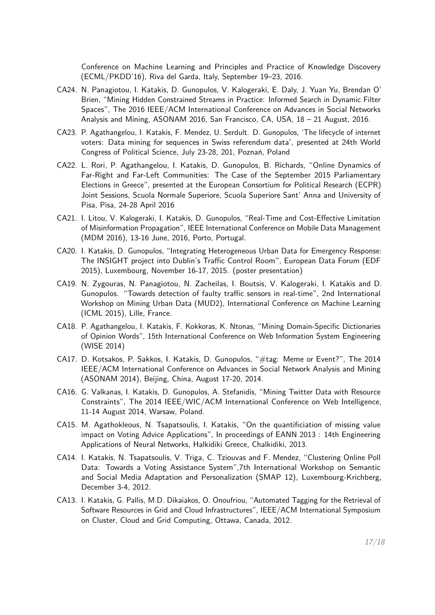Conference on Machine Learning and Principles and Practice of Knowledge Discovery (ECML/PKDD'16), Riva del Garda, Italy, September 19–23, 2016.

- CA24. N. Panagiotou, I. Katakis, D. Gunopulos, V. Kalogeraki, E. Daly, J. Yuan Yu, Brendan O' Brien, "Mining Hidden Constrained Streams in Practice: Informed Search in Dynamic Filter Spaces", The 2016 IEEE/ACM International Conference on Advances in Social Networks Analysis and Mining, ASONAM 2016, San Francisco, CA, USA, 18 – 21 August, 2016.
- CA23. P. Agathangelou, I. Katakis, F. Mendez, U. Serdult. D. Gunopulos, 'The lifecycle of internet voters: Data mining for sequences in Swiss referendum data', presented at 24th World Congress of Political Science, July 23-28, 201, Poznań, Poland
- CA22. L. Rori, P. Agathangelou, I. Katakis, D. Gunopulos, B. Richards, "Online Dynamics of Far-Right and Far-Left Communities: The Case of the September 2015 Parliamentary Elections in Greece", presented at the European Consortium for Political Research (ECPR) Joint Sessions, Scuola Normale Superiore, Scuola Superiore Sant' Anna and University of Pisa, Pisa, 24-28 April 2016
- CA21. I. Litou, V. Kalogeraki, I. Katakis, D. Gunopulos, "Real-Time and Cost-Effective Limitation of Misinformation Propagation", IEEE International Conference on Mobile Data Management (MDM 2016), 13-16 June, 2016, Porto, Portugal.
- CA20. I. Katakis, D. Gunopulos, "Integrating Heterogeneous Urban Data for Emergency Response: The INSIGHT project into Dublin's Traffic Control Room", European Data Forum (EDF 2015), Luxembourg, November 16-17, 2015. (poster presentation)
- CA19. N. Zygouras, N. Panagiotou, N. Zacheilas, I. Boutsis, V. Kalogeraki, I. Katakis and D. Gunopulos. "Towards detection of faulty traffic sensors in real-time", 2nd International Workshop on Mining Urban Data (MUD2), International Conference on Machine Learning (ICML 2015), Lille, France.
- CA18. P. Agathangelou, I. Katakis, F. Kokkoras, K. Ntonas, "Mining Domain-Specific Dictionaries of Opinion Words", 15th International Conference on Web Information System Engineering (WISE 2014)
- CA17. D. Kotsakos, P. Sakkos, I. Katakis, D. Gunopulos, "#tag: Meme or Event?", The 2014 IEEE/ACM International Conference on Advances in Social Network Analysis and Mining (ASONAM 2014), Beijing, China, August 17-20, 2014.
- CA16. G. Valkanas, I. Katakis, D. Gunopulos, A. Stefanidis, "Mining Twitter Data with Resource Constraints", The 2014 IEEE/WIC/ACM International Conference on Web Intelligence, 11-14 August 2014, Warsaw, Poland.
- CA15. M. Agathokleous, N. Tsapatsoulis, I. Katakis, "On the quantificiation of missing value impact on Voting Advice Applications", In proceedings of EANN 2013 : 14th Engineering Applications of Neural Networks, Halkidiki Greece, Chalkidiki, 2013.
- CA14. I. Katakis, N. Tsapatsoulis, V. Triga, C. Tziouvas and F. Mendez, "Clustering Online Poll Data: Towards a Voting Assistance System",7th International Workshop on Semantic and Social Media Adaptation and Personalization (SMAP 12), Luxembourg-Krichberg, December 3-4, 2012.
- CA13. I. Katakis, G. Pallis, M.D. Dikaiakos, O. Onoufriou, "Automated Tagging for the Retrieval of Software Resources in Grid and Cloud Infrastructures", IEEE/ACM International Symposium on Cluster, Cloud and Grid Computing, Ottawa, Canada, 2012.